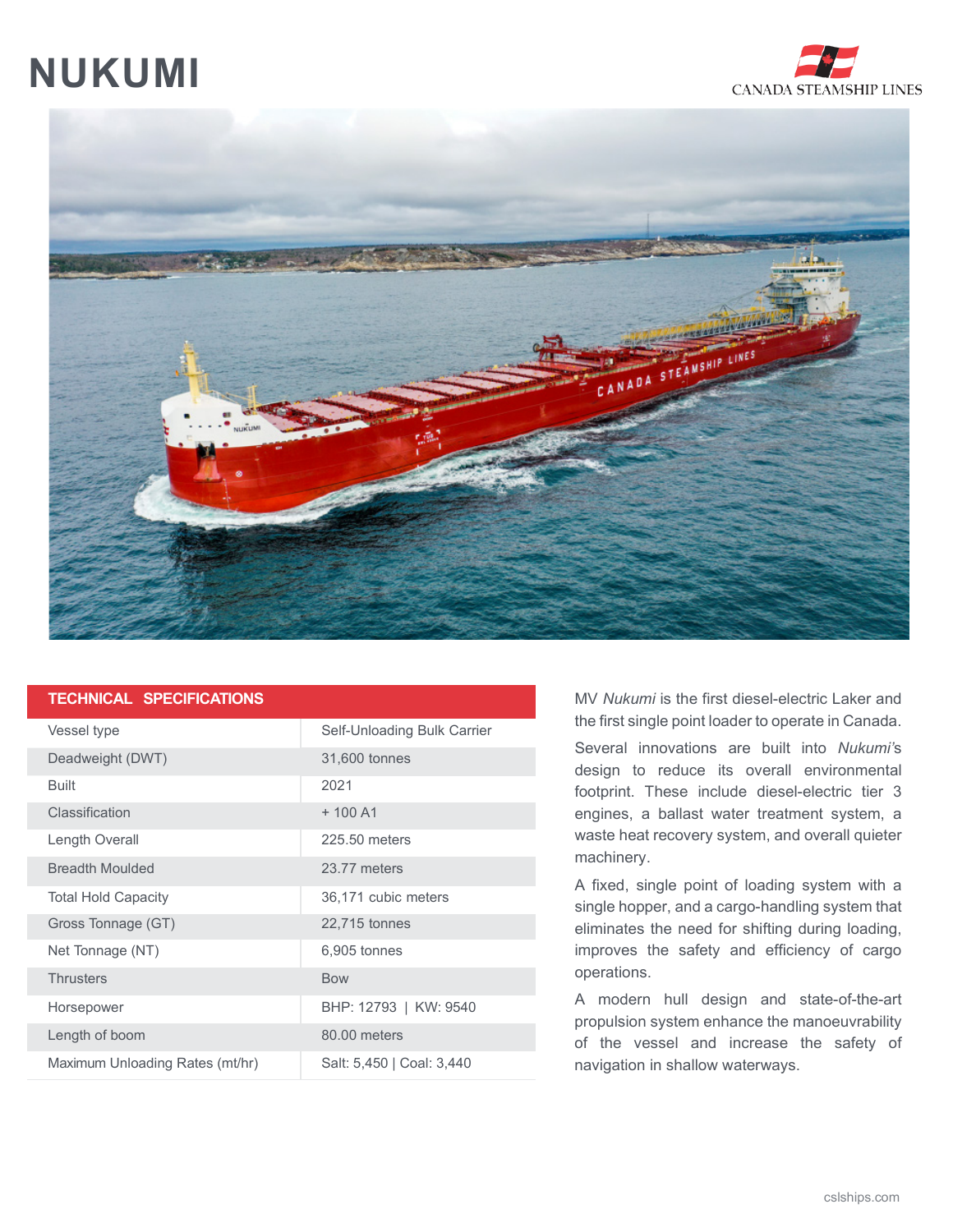## **NUKUMI**





## **TECHNICAL SPECIFICATIONS**

| Vessel type                     | Self-Unloading Bulk Carrier |
|---------------------------------|-----------------------------|
| Deadweight (DWT)                | 31,600 tonnes               |
| <b>Built</b>                    | 2021                        |
| Classification                  | $+100A1$                    |
| Length Overall                  | 225.50 meters               |
| <b>Breadth Moulded</b>          | 23.77 meters                |
| <b>Total Hold Capacity</b>      | 36,171 cubic meters         |
| Gross Tonnage (GT)              | 22,715 tonnes               |
| Net Tonnage (NT)                | 6,905 tonnes                |
| <b>Thrusters</b>                | <b>Bow</b>                  |
| Horsepower                      | BHP: 12793   KW: 9540       |
| Length of boom                  | 80.00 meters                |
| Maximum Unloading Rates (mt/hr) | Salt: 5,450   Coal: 3,440   |

MV *Nukumi* is the first diesel-electric Laker and the first single point loader to operate in Canada.

Several innovations are built into *Nukumi'*s design to reduce its overall environmental footprint. These include diesel-electric tier 3 engines, a ballast water treatment system, a waste heat recovery system, and overall quieter machinery.

A fixed, single point of loading system with a single hopper, and a cargo-handling system that eliminates the need for shifting during loading, improves the safety and efficiency of cargo operations.

A modern hull design and state-of-the-art propulsion system enhance the manoeuvrability of the vessel and increase the safety of navigation in shallow waterways.